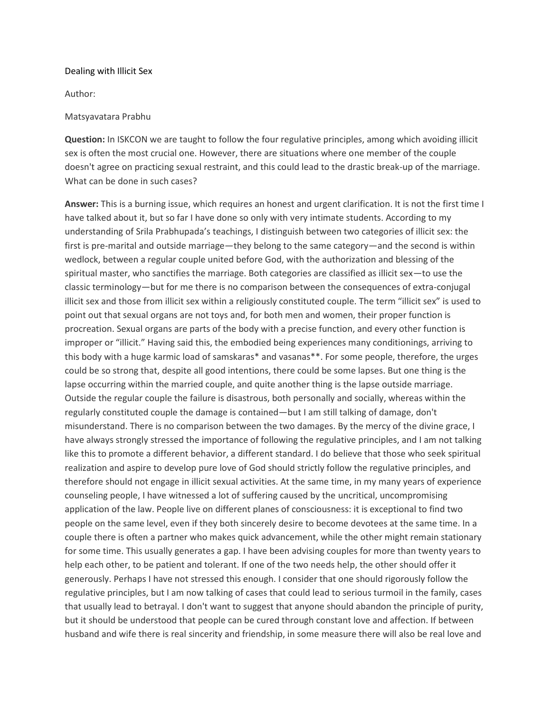## Dealing with Illicit Sex

Author:

## Matsyavatara Prabhu

**Question:** In ISKCON we are taught to follow the four regulative principles, among which avoiding illicit sex is often the most crucial one. However, there are situations where one member of the couple doesn't agree on practicing sexual restraint, and this could lead to the drastic break-up of the marriage. What can be done in such cases?

**Answer:** This is a burning issue, which requires an honest and urgent clarification. It is not the first time I have talked about it, but so far I have done so only with very intimate students. According to my understanding of Srila Prabhupada's teachings, I distinguish between two categories of illicit sex: the first is pre-marital and outside marriage—they belong to the same category—and the second is within wedlock, between a regular couple united before God, with the authorization and blessing of the spiritual master, who sanctifies the marriage. Both categories are classified as illicit sex—to use the classic terminology—but for me there is no comparison between the consequences of extra-conjugal illicit sex and those from illicit sex within a religiously constituted couple. The term "illicit sex" is used to point out that sexual organs are not toys and, for both men and women, their proper function is procreation. Sexual organs are parts of the body with a precise function, and every other function is improper or "illicit." Having said this, the embodied being experiences many conditionings, arriving to this body with a huge karmic load of samskaras\* and vasanas\*\*. For some people, therefore, the urges could be so strong that, despite all good intentions, there could be some lapses. But one thing is the lapse occurring within the married couple, and quite another thing is the lapse outside marriage. Outside the regular couple the failure is disastrous, both personally and socially, whereas within the regularly constituted couple the damage is contained—but I am still talking of damage, don't misunderstand. There is no comparison between the two damages. By the mercy of the divine grace, I have always strongly stressed the importance of following the regulative principles, and I am not talking like this to promote a different behavior, a different standard. I do believe that those who seek spiritual realization and aspire to develop pure love of God should strictly follow the regulative principles, and therefore should not engage in illicit sexual activities. At the same time, in my many years of experience counseling people, I have witnessed a lot of suffering caused by the uncritical, uncompromising application of the law. People live on different planes of consciousness: it is exceptional to find two people on the same level, even if they both sincerely desire to become devotees at the same time. In a couple there is often a partner who makes quick advancement, while the other might remain stationary for some time. This usually generates a gap. I have been advising couples for more than twenty years to help each other, to be patient and tolerant. If one of the two needs help, the other should offer it generously. Perhaps I have not stressed this enough. I consider that one should rigorously follow the regulative principles, but I am now talking of cases that could lead to serious turmoil in the family, cases that usually lead to betrayal. I don't want to suggest that anyone should abandon the principle of purity, but it should be understood that people can be cured through constant love and affection. If between husband and wife there is real sincerity and friendship, in some measure there will also be real love and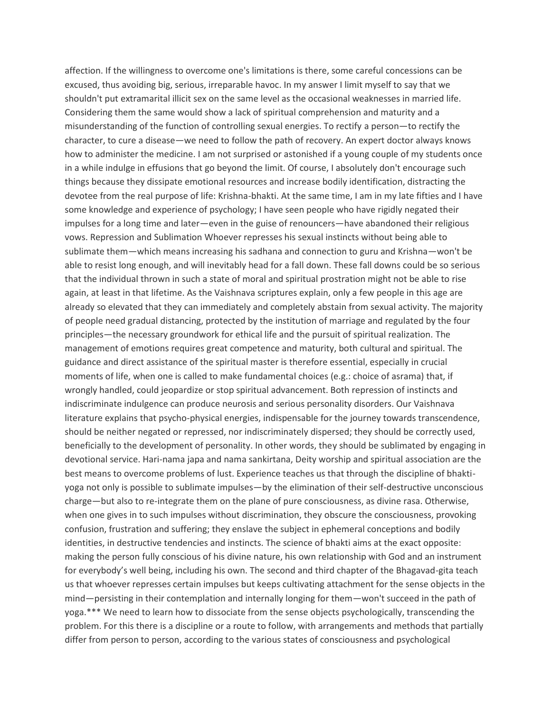affection. If the willingness to overcome one's limitations is there, some careful concessions can be excused, thus avoiding big, serious, irreparable havoc. In my answer I limit myself to say that we shouldn't put extramarital illicit sex on the same level as the occasional weaknesses in married life. Considering them the same would show a lack of spiritual comprehension and maturity and a misunderstanding of the function of controlling sexual energies. To rectify a person—to rectify the character, to cure a disease—we need to follow the path of recovery. An expert doctor always knows how to administer the medicine. I am not surprised or astonished if a young couple of my students once in a while indulge in effusions that go beyond the limit. Of course, I absolutely don't encourage such things because they dissipate emotional resources and increase bodily identification, distracting the devotee from the real purpose of life: Krishna-bhakti. At the same time, I am in my late fifties and I have some knowledge and experience of psychology; I have seen people who have rigidly negated their impulses for a long time and later—even in the guise of renouncers—have abandoned their religious vows. Repression and Sublimation Whoever represses his sexual instincts without being able to sublimate them—which means increasing his sadhana and connection to guru and Krishna—won't be able to resist long enough, and will inevitably head for a fall down. These fall downs could be so serious that the individual thrown in such a state of moral and spiritual prostration might not be able to rise again, at least in that lifetime. As the Vaishnava scriptures explain, only a few people in this age are already so elevated that they can immediately and completely abstain from sexual activity. The majority of people need gradual distancing, protected by the institution of marriage and regulated by the four principles—the necessary groundwork for ethical life and the pursuit of spiritual realization. The management of emotions requires great competence and maturity, both cultural and spiritual. The guidance and direct assistance of the spiritual master is therefore essential, especially in crucial moments of life, when one is called to make fundamental choices (e.g.: choice of asrama) that, if wrongly handled, could jeopardize or stop spiritual advancement. Both repression of instincts and indiscriminate indulgence can produce neurosis and serious personality disorders. Our Vaishnava literature explains that psycho-physical energies, indispensable for the journey towards transcendence, should be neither negated or repressed, nor indiscriminately dispersed; they should be correctly used, beneficially to the development of personality. In other words, they should be sublimated by engaging in devotional service. Hari-nama japa and nama sankirtana, Deity worship and spiritual association are the best means to overcome problems of lust. Experience teaches us that through the discipline of bhakti yoga not only is possible to sublimate impulses—by the elimination of their self-destructive unconscious charge—but also to re-integrate them on the plane of pure consciousness, as divine rasa. Otherwise, when one gives in to such impulses without discrimination, they obscure the consciousness, provoking confusion, frustration and suffering; they enslave the subject in ephemeral conceptions and bodily identities, in destructive tendencies and instincts. The science of bhakti aims at the exact opposite: making the person fully conscious of his divine nature, his own relationship with God and an instrument for everybody's well being, including his own. The second and third chapter of the Bhagavad-gita teach us that whoever represses certain impulses but keeps cultivating attachment for the sense objects in the mind—persisting in their contemplation and internally longing for them—won't succeed in the path of yoga.\*\*\* We need to learn how to dissociate from the sense objects psychologically, transcending the problem. For this there is a discipline or a route to follow, with arrangements and methods that partially differ from person to person, according to the various states of consciousness and psychological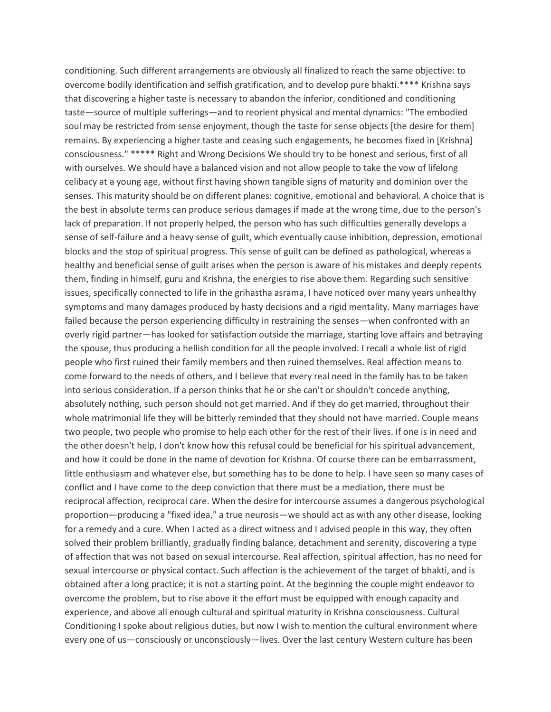conditioning. Such different arrangements are obviously all finalized to reach the same objective: to overcome bodily identification and selfish gratification, and to develop pure bhakti.\*\*\*\* Krishna says that discovering a higher taste is necessary to abandon the inferior, conditioned and conditioning taste—source of multiple sufferings—and to reorient physical and mental dynamics: "The embodied soul may be restricted from sense enjoyment, though the taste for sense objects [the desire for them] remains. By experiencing a higher taste and ceasing such engagements, he becomes fixed in [Krishna] consciousness." \*\*\*\*\* Right and Wrong Decisions We should try to be honest and serious, first of all with ourselves. We should have a balanced vision and not allow people to take the vow of lifelong celibacy at a young age, without first having shown tangible signs of maturity and dominion over the senses. This maturity should be on different planes: cognitive, emotional and behavioral. A choice that is the best in absolute terms can produce serious damages if made at the wrong time, due to the person's lack of preparation. If not properly helped, the person who has such difficulties generally develops a sense of self-failure and a heavy sense of guilt, which eventually cause inhibition, depression, emotional blocks and the stop of spiritual progress. This sense of guilt can be defined as pathological, whereas a healthy and beneficial sense of guilt arises when the person is aware of his mistakes and deeply repents them, finding in himself, guru and Krishna, the energies to rise above them. Regarding such sensitive issues, specifically connected to life in the grihastha asrama, I have noticed over many years unhealthy symptoms and many damages produced by hasty decisions and a rigid mentality. Many marriages have failed because the person experiencing difficulty in restraining the senses—when confronted with an overly rigid partner—has looked for satisfaction outside the marriage, starting love affairs and betraying the spouse, thus producing a hellish condition for all the people involved. I recall a whole list of rigid people who first ruined their family members and then ruined themselves. Real affection means to come forward to the needs of others, and I believe that every real need in the family has to be taken into serious consideration. If a person thinks that he or she can't or shouldn't concede anything, absolutely nothing, such person should not get married. And if they do get married, throughout their whole matrimonial life they will be bitterly reminded that they should not have married. Couple means two people, two people who promise to help each other for the rest of their lives. If one is in need and the other doesn't help, I don't know how this refusal could be beneficial for his spiritual advancement, and how it could be done in the name of devotion for Krishna. Of course there can be embarrassment, little enthusiasm and whatever else, but something has to be done to help. I have seen so many cases of conflict and I have come to the deep conviction that there must be a mediation, there must be reciprocal affection, reciprocal care. When the desire for intercourse assumes a dangerous psychological proportion—producing a "fixed idea," a true neurosis—we should act as with any other disease, looking for a remedy and a cure. When I acted as a direct witness and I advised people in this way, they often solved their problem brilliantly, gradually finding balance, detachment and serenity, discovering a type of affection that was not based on sexual intercourse. Real affection, spiritual affection, has no need for sexual intercourse or physical contact. Such affection is the achievement of the target of bhakti, and is obtained after a long practice; it is not a starting point. At the beginning the couple might endeavor to overcome the problem, but to rise above it the effort must be equipped with enough capacity and experience, and above all enough cultural and spiritual maturity in Krishna consciousness. Cultural Conditioning I spoke about religious duties, but now I wish to mention the cultural environment where every one of us—consciously or unconsciously—lives. Over the last century Western culture has been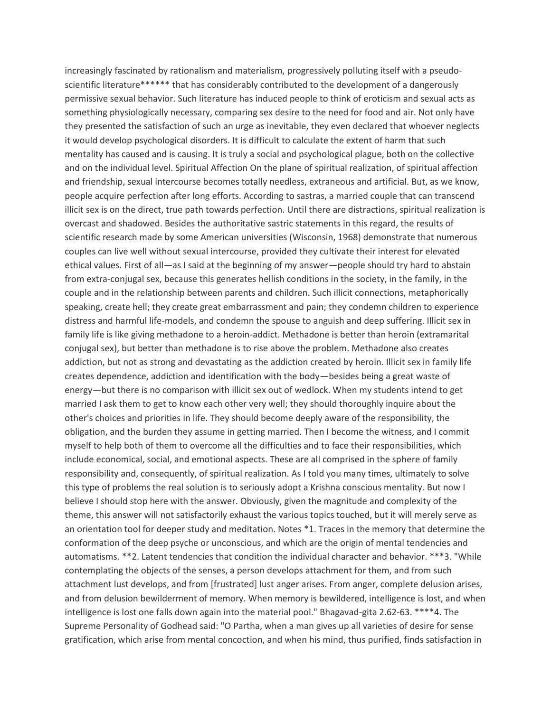increasingly fascinated by rationalism and materialism, progressively polluting itself with a pseudo scientific literature\*\*\*\*\*\* that has considerably contributed to the development of a dangerously permissive sexual behavior. Such literature has induced people to think of eroticism and sexual acts as something physiologically necessary, comparing sex desire to the need for food and air. Not only have they presented the satisfaction of such an urge as inevitable, they even declared that whoever neglects it would develop psychological disorders. It is difficult to calculate the extent of harm that such mentality has caused and is causing. It is truly a social and psychological plague, both on the collective and on the individual level. Spiritual Affection On the plane of spiritual realization, of spiritual affection and friendship, sexual intercourse becomes totally needless, extraneous and artificial. But, as we know, people acquire perfection after long efforts. According to sastras, a married couple that can transcend illicit sex is on the direct, true path towards perfection. Until there are distractions, spiritual realization is overcast and shadowed. Besides the authoritative sastric statements in this regard, the results of scientific research made by some American universities (Wisconsin, 1968) demonstrate that numerous couples can live well without sexual intercourse, provided they cultivate their interest for elevated ethical values. First of all—as I said at the beginning of my answer—people should try hard to abstain from extra-conjugal sex, because this generates hellish conditions in the society, in the family, in the couple and in the relationship between parents and children. Such illicit connections, metaphorically speaking, create hell; they create great embarrassment and pain; they condemn children to experience distress and harmful life-models, and condemn the spouse to anguish and deep suffering. Illicit sex in family life is like giving methadone to a heroin-addict. Methadone is better than heroin (extramarital conjugal sex), but better than methadone is to rise above the problem. Methadone also creates addiction, but not as strong and devastating as the addiction created by heroin. Illicit sex in family life creates dependence, addiction and identification with the body—besides being a great waste of energy—but there is no comparison with illicit sex out of wedlock. When my students intend to get married I ask them to get to know each other very well; they should thoroughly inquire about the other's choices and priorities in life. They should become deeply aware of the responsibility, the obligation, and the burden they assume in getting married. Then I become the witness, and I commit myself to help both of them to overcome all the difficulties and to face their responsibilities, which include economical, social, and emotional aspects. These are all comprised in the sphere of family responsibility and, consequently, of spiritual realization. As I told you many times, ultimately to solve this type of problems the real solution is to seriously adopt a Krishna conscious mentality. But now I believe I should stop here with the answer. Obviously, given the magnitude and complexity of the theme, this answer will not satisfactorily exhaust the various topics touched, but it will merely serve as an orientation tool for deeper study and meditation. Notes \*1. Traces in the memory that determine the conformation of the deep psyche or unconscious, and which are the origin of mental tendencies and automatisms. \*\*2. Latent tendencies that condition the individual character and behavior. \*\*\*3. "While contemplating the objects of the senses, a person develops attachment for them, and from such attachment lust develops, and from [frustrated] lust anger arises. From anger, complete delusion arises, and from delusion bewilderment of memory. When memory is bewildered, intelligence is lost, and when intelligence is lost one falls down again into the material pool." Bhagavad-gita 2.62-63. \*\*\*\*4. The Supreme Personality of Godhead said: "O Partha, when a man gives up all varieties of desire for sense gratification, which arise from mental concoction, and when his mind, thus purified, finds satisfaction in